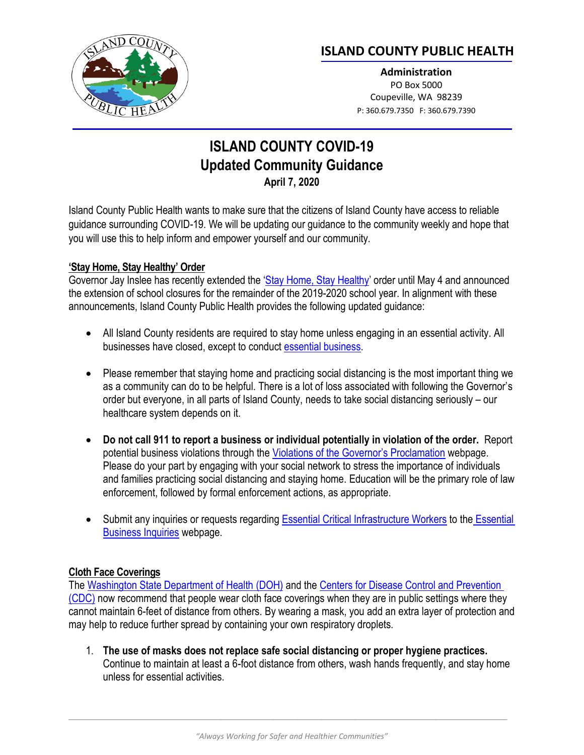

# **ISLAND COUNTY PUBLIC HEALTH**

**Administration** PO Box 5000 Coupeville, WA 98239 P: 360.679.7350 F: 360.679.7390

# **ISLAND COUNTY COVID-19 Updated Community Guidance April 7, 2020**

Island County Public Health wants to make sure that the citizens of Island County have access to reliable guidance surrounding COVID-19. We will be updating our guidance to the community weekly and hope that you will use this to help inform and empower yourself and our community.

### **'Stay Home, Stay Healthy' Order**

Governor Jay Inslee has recently extended the '[Stay Home, Stay Healthy](https://www.governor.wa.gov/sites/default/files/proclamations/20-25%20Coronovirus%20Stay%20Safe-Stay%20Healthy%20%28tmp%29%20%28002%29.pdf)' order until May 4 and announced the extension of school closures for the remainder of the 2019-2020 school year. In alignment with these announcements, Island County Public Health provides the following updated guidance:

- All Island County residents are required to stay home unless engaging in an essential activity. All businesses have closed, except to conduct [essential business.](https://www.governor.wa.gov/sites/default/files/WA%20Essential%20Critical%20Infrastructure%20Workers%20%28Final%29.pdf)
- Please remember that staying home and practicing social distancing is the most important thing we as a community can do to be helpful. There is a lot of loss associated with following the Governor's order but everyone, in all parts of Island County, needs to take social distancing seriously – our healthcare system depends on it.
- **Do not call 911 to report a business or individual potentially in violation of the order.** Report potential business violations through the [Violations of the Governor's Proclamation](https://app.smartsheet.com/b/form/09349a1c56844b539fea1c2cabd16d56) webpage. Please do your part by engaging with your social network to stress the importance of individuals and families practicing social distancing and staying home. Education will be the primary role of law enforcement, followed by formal enforcement actions, as appropriate.
- Submit any inquiries or requests regardin[g Essential Critical Infrastructure Workers](https://www.governor.wa.gov/sites/default/files/WA%20Essential%20Critical%20Infrastructure%20Workers%20%28Final%29.pdf) to the [Essential](https://app.smartsheet.com/b/form/d4c155fa930f4b848f95774d610c9708)  [Business Inquiries](https://app.smartsheet.com/b/form/d4c155fa930f4b848f95774d610c9708) webpage.

## **Cloth Face Coverings**

Th[e Washington State Department of Health](https://www.doh.wa.gov/emergencies/coronavirus) (DOH) and the [Centers for Disease Control and Prevention](http://www.cdc.gov/covid19)  [\(CDC\)](http://www.cdc.gov/covid19) now recommend that people wear cloth face coverings when they are in public settings where they cannot maintain 6-feet of distance from others. By wearing a mask, you add an extra layer of protection and may help to reduce further spread by containing your own respiratory droplets.

1. **The use of masks does not replace safe social distancing or proper hygiene practices.**  Continue to maintain at least a 6-foot distance from others, wash hands frequently, and stay home unless for essential activities.

 $\_$  ,  $\_$  ,  $\_$  ,  $\_$  ,  $\_$  ,  $\_$  ,  $\_$  ,  $\_$  ,  $\_$  ,  $\_$  ,  $\_$  ,  $\_$  ,  $\_$  ,  $\_$  ,  $\_$  ,  $\_$  ,  $\_$  ,  $\_$  ,  $\_$  ,  $\_$  ,  $\_$  ,  $\_$  ,  $\_$  ,  $\_$  ,  $\_$  ,  $\_$  ,  $\_$  ,  $\_$  ,  $\_$  ,  $\_$  ,  $\_$  ,  $\_$  ,  $\_$  ,  $\_$  ,  $\_$  ,  $\_$  ,  $\_$  ,